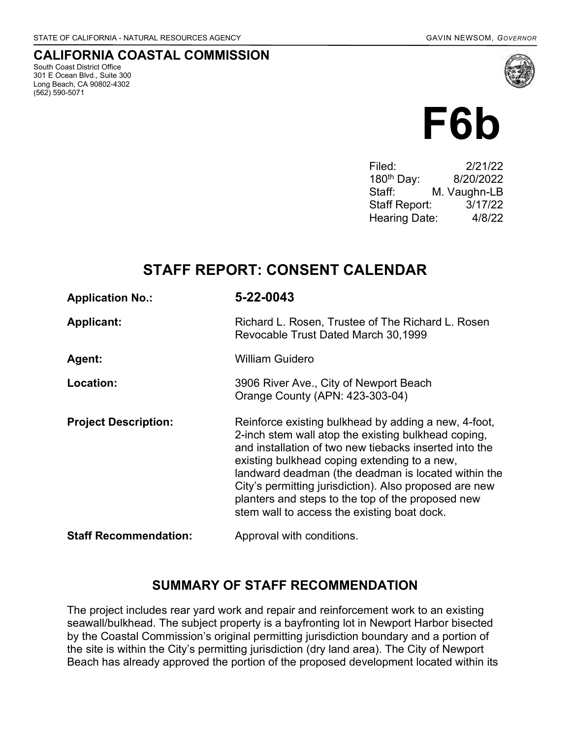South Coast District Office 301 E Ocean Blvd., Suite 300 Long Beach, CA 90802-4302

(562) 590-5071

CALIFORNIA COASTAL COMMISSION

# F6b

Filed: 2/21/22 180th Day: 8/20/2022 Staff: M. Vaughn-LB Staff Report: 3/17/22 Hearing Date: 4/8/22

# STAFF REPORT: CONSENT CALENDAR

| <b>Application No.:</b>      | 5-22-0043                                                                                                                                                                                                                                                                                                                                                                                                                                  |
|------------------------------|--------------------------------------------------------------------------------------------------------------------------------------------------------------------------------------------------------------------------------------------------------------------------------------------------------------------------------------------------------------------------------------------------------------------------------------------|
| <b>Applicant:</b>            | Richard L. Rosen, Trustee of The Richard L. Rosen<br>Revocable Trust Dated March 30,1999                                                                                                                                                                                                                                                                                                                                                   |
| <b>Agent:</b>                | <b>William Guidero</b>                                                                                                                                                                                                                                                                                                                                                                                                                     |
| Location:                    | 3906 River Ave., City of Newport Beach<br>Orange County (APN: 423-303-04)                                                                                                                                                                                                                                                                                                                                                                  |
| <b>Project Description:</b>  | Reinforce existing bulkhead by adding a new, 4-foot,<br>2-inch stem wall atop the existing bulkhead coping,<br>and installation of two new tiebacks inserted into the<br>existing bulkhead coping extending to a new,<br>landward deadman (the deadman is located within the<br>City's permitting jurisdiction). Also proposed are new<br>planters and steps to the top of the proposed new<br>stem wall to access the existing boat dock. |
| <b>Staff Recommendation:</b> | Approval with conditions.                                                                                                                                                                                                                                                                                                                                                                                                                  |

#### SUMMARY OF STAFF RECOMMENDATION

The project includes rear yard work and repair and reinforcement work to an existing seawall/bulkhead. The subject property is a bayfronting lot in Newport Harbor bisected by the Coastal Commission's original permitting jurisdiction boundary and a portion of the site is within the City's permitting jurisdiction (dry land area). The City of Newport Beach has already approved the portion of the proposed development located within its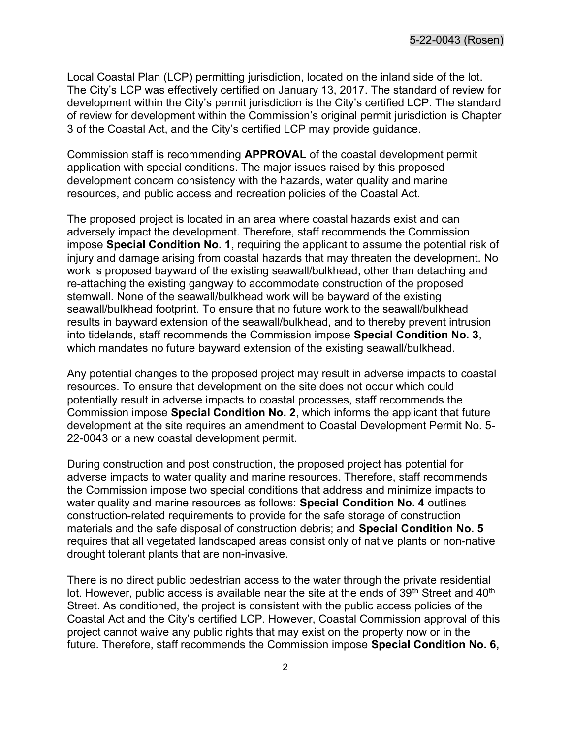Local Coastal Plan (LCP) permitting jurisdiction, located on the inland side of the lot. The City's LCP was effectively certified on January 13, 2017. The standard of review for development within the City's permit jurisdiction is the City's certified LCP. The standard of review for development within the Commission's original permit jurisdiction is Chapter 3 of the Coastal Act, and the City's certified LCP may provide guidance.

Commission staff is recommending APPROVAL of the coastal development permit application with special conditions. The major issues raised by this proposed development concern consistency with the hazards, water quality and marine resources, and public access and recreation policies of the Coastal Act.

The proposed project is located in an area where coastal hazards exist and can adversely impact the development. Therefore, staff recommends the Commission impose Special Condition No. 1, requiring the applicant to assume the potential risk of injury and damage arising from coastal hazards that may threaten the development. No work is proposed bayward of the existing seawall/bulkhead, other than detaching and re-attaching the existing gangway to accommodate construction of the proposed stemwall. None of the seawall/bulkhead work will be bayward of the existing seawall/bulkhead footprint. To ensure that no future work to the seawall/bulkhead results in bayward extension of the seawall/bulkhead, and to thereby prevent intrusion into tidelands, staff recommends the Commission impose Special Condition No. 3, which mandates no future bayward extension of the existing seawall/bulkhead.

Any potential changes to the proposed project may result in adverse impacts to coastal resources. To ensure that development on the site does not occur which could potentially result in adverse impacts to coastal processes, staff recommends the Commission impose Special Condition No. 2, which informs the applicant that future development at the site requires an amendment to Coastal Development Permit No. 5- 22-0043 or a new coastal development permit.

During construction and post construction, the proposed project has potential for adverse impacts to water quality and marine resources. Therefore, staff recommends the Commission impose two special conditions that address and minimize impacts to water quality and marine resources as follows: Special Condition No. 4 outlines construction-related requirements to provide for the safe storage of construction materials and the safe disposal of construction debris; and Special Condition No. 5 requires that all vegetated landscaped areas consist only of native plants or non-native drought tolerant plants that are non-invasive.

There is no direct public pedestrian access to the water through the private residential lot. However, public access is available near the site at the ends of  $39<sup>th</sup>$  Street and  $40<sup>th</sup>$ Street. As conditioned, the project is consistent with the public access policies of the Coastal Act and the City's certified LCP. However, Coastal Commission approval of this project cannot waive any public rights that may exist on the property now or in the future. Therefore, staff recommends the Commission impose Special Condition No. 6,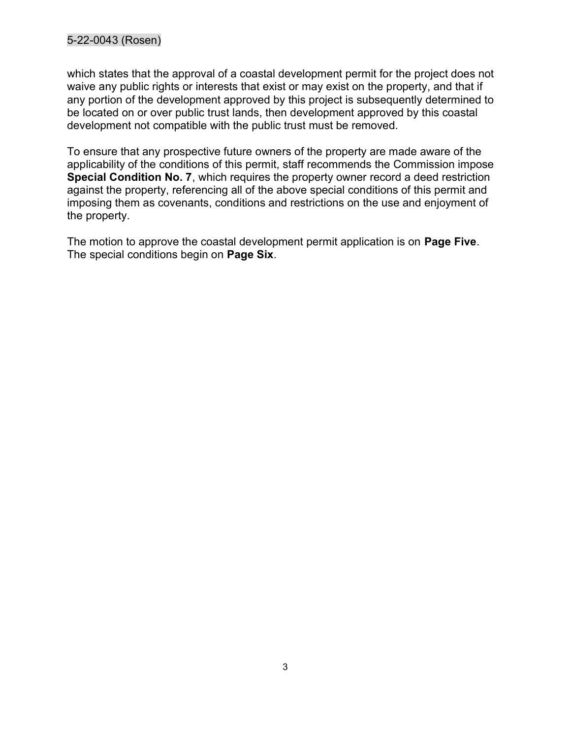#### 5-22-0043 (Rosen)

which states that the approval of a coastal development permit for the project does not waive any public rights or interests that exist or may exist on the property, and that if any portion of the development approved by this project is subsequently determined to be located on or over public trust lands, then development approved by this coastal development not compatible with the public trust must be removed.

To ensure that any prospective future owners of the property are made aware of the applicability of the conditions of this permit, staff recommends the Commission impose Special Condition No. 7, which requires the property owner record a deed restriction against the property, referencing all of the above special conditions of this permit and imposing them as covenants, conditions and restrictions on the use and enjoyment of the property.

The motion to approve the coastal development permit application is on **Page Five**. The special conditions begin on **Page Six**.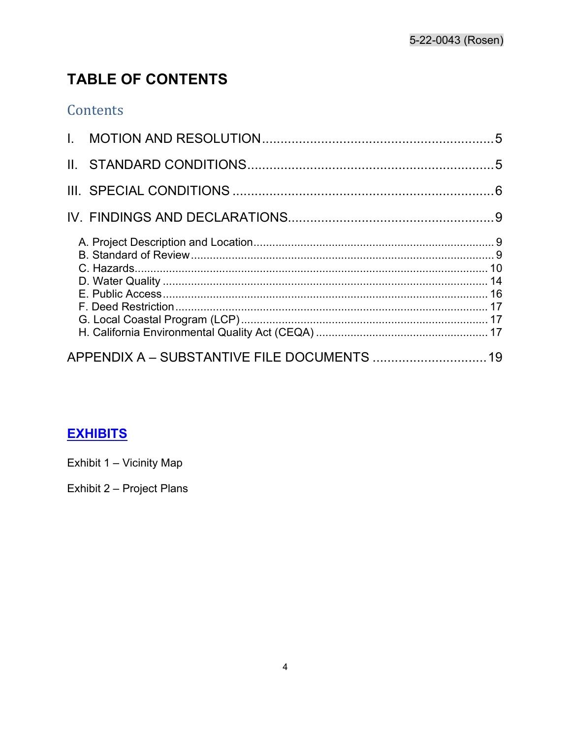# **TABLE OF CONTENTS**

# Contents

# **EXHIBITS**

Exhibit 1 - Vicinity Map

Exhibit 2 - Project Plans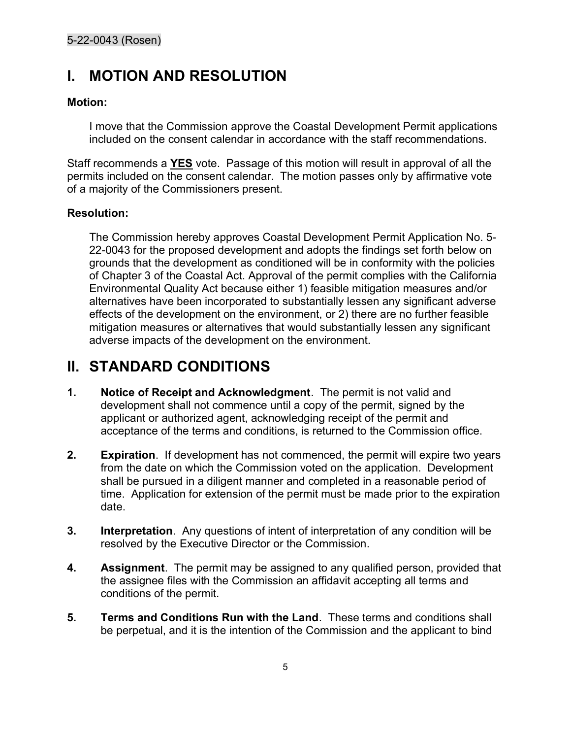# I. MOTION AND RESOLUTION

#### Motion:

I move that the Commission approve the Coastal Development Permit applications included on the consent calendar in accordance with the staff recommendations.

Staff recommends a **YES** vote. Passage of this motion will result in approval of all the permits included on the consent calendar. The motion passes only by affirmative vote of a majority of the Commissioners present.

#### Resolution:

The Commission hereby approves Coastal Development Permit Application No. 5- 22-0043 for the proposed development and adopts the findings set forth below on grounds that the development as conditioned will be in conformity with the policies of Chapter 3 of the Coastal Act. Approval of the permit complies with the California Environmental Quality Act because either 1) feasible mitigation measures and/or alternatives have been incorporated to substantially lessen any significant adverse effects of the development on the environment, or 2) there are no further feasible mitigation measures or alternatives that would substantially lessen any significant adverse impacts of the development on the environment.

# II. STANDARD CONDITIONS

- 1. Notice of Receipt and Acknowledgment. The permit is not valid and development shall not commence until a copy of the permit, signed by the applicant or authorized agent, acknowledging receipt of the permit and acceptance of the terms and conditions, is returned to the Commission office.
- 2. Expiration. If development has not commenced, the permit will expire two years from the date on which the Commission voted on the application. Development shall be pursued in a diligent manner and completed in a reasonable period of time. Application for extension of the permit must be made prior to the expiration date.
- 3. Interpretation. Any questions of intent of interpretation of any condition will be resolved by the Executive Director or the Commission.
- **4.** Assignment. The permit may be assigned to any qualified person, provided that the assignee files with the Commission an affidavit accepting all terms and conditions of the permit.
- 5. Terms and Conditions Run with the Land. These terms and conditions shall be perpetual, and it is the intention of the Commission and the applicant to bind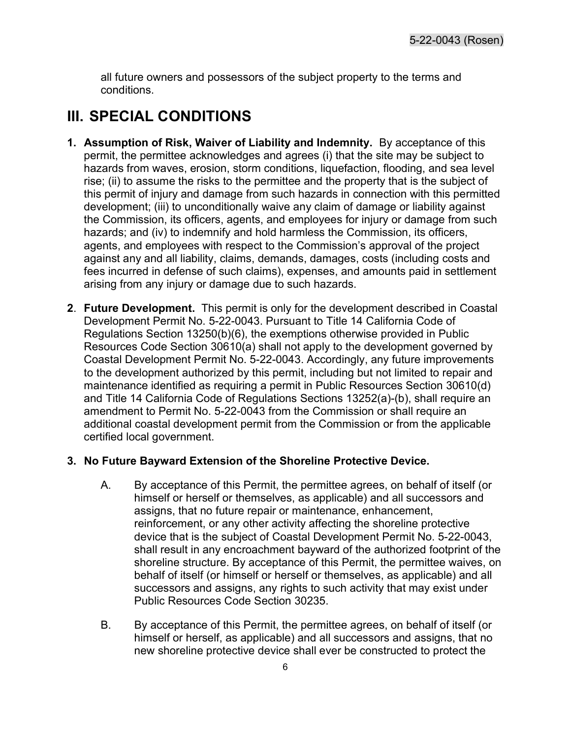all future owners and possessors of the subject property to the terms and conditions.

# III. SPECIAL CONDITIONS

- 1. Assumption of Risk, Waiver of Liability and Indemnity. By acceptance of this permit, the permittee acknowledges and agrees (i) that the site may be subject to hazards from waves, erosion, storm conditions, liquefaction, flooding, and sea level rise; (ii) to assume the risks to the permittee and the property that is the subject of this permit of injury and damage from such hazards in connection with this permitted development; (iii) to unconditionally waive any claim of damage or liability against the Commission, its officers, agents, and employees for injury or damage from such hazards; and (iv) to indemnify and hold harmless the Commission, its officers, agents, and employees with respect to the Commission's approval of the project against any and all liability, claims, demands, damages, costs (including costs and fees incurred in defense of such claims), expenses, and amounts paid in settlement arising from any injury or damage due to such hazards.
- 2. Future Development. This permit is only for the development described in Coastal Development Permit No. 5-22-0043. Pursuant to Title 14 California Code of Regulations Section 13250(b)(6), the exemptions otherwise provided in Public Resources Code Section 30610(a) shall not apply to the development governed by Coastal Development Permit No. 5-22-0043. Accordingly, any future improvements to the development authorized by this permit, including but not limited to repair and maintenance identified as requiring a permit in Public Resources Section 30610(d) and Title 14 California Code of Regulations Sections 13252(a)-(b), shall require an amendment to Permit No. 5-22-0043 from the Commission or shall require an additional coastal development permit from the Commission or from the applicable certified local government.

#### 3. No Future Bayward Extension of the Shoreline Protective Device.

- A. By acceptance of this Permit, the permittee agrees, on behalf of itself (or himself or herself or themselves, as applicable) and all successors and assigns, that no future repair or maintenance, enhancement, reinforcement, or any other activity affecting the shoreline protective device that is the subject of Coastal Development Permit No. 5-22-0043, shall result in any encroachment bayward of the authorized footprint of the shoreline structure. By acceptance of this Permit, the permittee waives, on behalf of itself (or himself or herself or themselves, as applicable) and all successors and assigns, any rights to such activity that may exist under Public Resources Code Section 30235.
- B. By acceptance of this Permit, the permittee agrees, on behalf of itself (or himself or herself, as applicable) and all successors and assigns, that no new shoreline protective device shall ever be constructed to protect the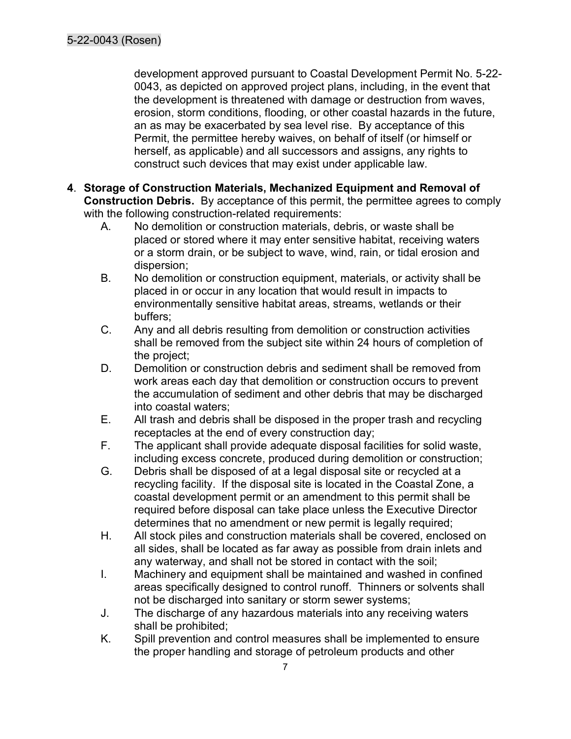development approved pursuant to Coastal Development Permit No. 5-22- 0043, as depicted on approved project plans, including, in the event that the development is threatened with damage or destruction from waves, erosion, storm conditions, flooding, or other coastal hazards in the future, an as may be exacerbated by sea level rise. By acceptance of this Permit, the permittee hereby waives, on behalf of itself (or himself or herself, as applicable) and all successors and assigns, any rights to construct such devices that may exist under applicable law.

- 4. Storage of Construction Materials, Mechanized Equipment and Removal of Construction Debris. By acceptance of this permit, the permittee agrees to comply with the following construction-related requirements:
	- A. No demolition or construction materials, debris, or waste shall be placed or stored where it may enter sensitive habitat, receiving waters or a storm drain, or be subject to wave, wind, rain, or tidal erosion and dispersion;
	- B. No demolition or construction equipment, materials, or activity shall be placed in or occur in any location that would result in impacts to environmentally sensitive habitat areas, streams, wetlands or their buffers;
	- C. Any and all debris resulting from demolition or construction activities shall be removed from the subject site within 24 hours of completion of the project;
	- D. Demolition or construction debris and sediment shall be removed from work areas each day that demolition or construction occurs to prevent the accumulation of sediment and other debris that may be discharged into coastal waters;
	- E. All trash and debris shall be disposed in the proper trash and recycling receptacles at the end of every construction day;
	- F. The applicant shall provide adequate disposal facilities for solid waste, including excess concrete, produced during demolition or construction;
	- G. Debris shall be disposed of at a legal disposal site or recycled at a recycling facility. If the disposal site is located in the Coastal Zone, a coastal development permit or an amendment to this permit shall be required before disposal can take place unless the Executive Director determines that no amendment or new permit is legally required;
	- H. All stock piles and construction materials shall be covered, enclosed on all sides, shall be located as far away as possible from drain inlets and any waterway, and shall not be stored in contact with the soil;
	- I. Machinery and equipment shall be maintained and washed in confined areas specifically designed to control runoff. Thinners or solvents shall not be discharged into sanitary or storm sewer systems;
	- J. The discharge of any hazardous materials into any receiving waters shall be prohibited;
	- K. Spill prevention and control measures shall be implemented to ensure the proper handling and storage of petroleum products and other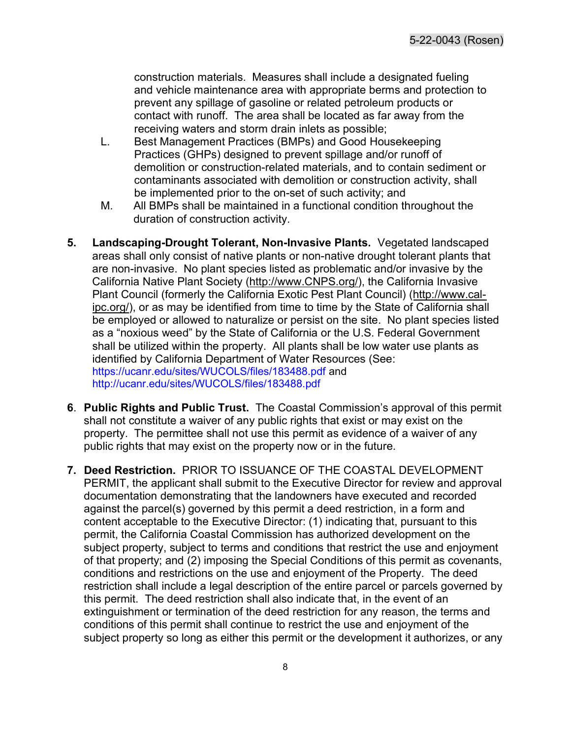construction materials. Measures shall include a designated fueling and vehicle maintenance area with appropriate berms and protection to prevent any spillage of gasoline or related petroleum products or contact with runoff. The area shall be located as far away from the receiving waters and storm drain inlets as possible;

- L. Best Management Practices (BMPs) and Good Housekeeping Practices (GHPs) designed to prevent spillage and/or runoff of demolition or construction-related materials, and to contain sediment or contaminants associated with demolition or construction activity, shall be implemented prior to the on-set of such activity; and
- M. All BMPs shall be maintained in a functional condition throughout the duration of construction activity.
- 5. Landscaping-Drought Tolerant, Non-Invasive Plants. Vegetated landscaped areas shall only consist of native plants or non-native drought tolerant plants that are non-invasive. No plant species listed as problematic and/or invasive by the California Native Plant Society (http://www.CNPS.org/), the California Invasive Plant Council (formerly the California Exotic Pest Plant Council) (http://www.calipc.org/), or as may be identified from time to time by the State of California shall be employed or allowed to naturalize or persist on the site. No plant species listed as a "noxious weed" by the State of California or the U.S. Federal Government shall be utilized within the property. All plants shall be low water use plants as identified by California Department of Water Resources (See: https://ucanr.edu/sites/WUCOLS/files/183488.pdf and http://ucanr.edu/sites/WUCOLS/files/183488.pdf
- 6. Public Rights and Public Trust. The Coastal Commission's approval of this permit shall not constitute a waiver of any public rights that exist or may exist on the property. The permittee shall not use this permit as evidence of a waiver of any public rights that may exist on the property now or in the future.
- 7. Deed Restriction. PRIOR TO ISSUANCE OF THE COASTAL DEVELOPMENT PERMIT, the applicant shall submit to the Executive Director for review and approval documentation demonstrating that the landowners have executed and recorded against the parcel(s) governed by this permit a deed restriction, in a form and content acceptable to the Executive Director: (1) indicating that, pursuant to this permit, the California Coastal Commission has authorized development on the subject property, subject to terms and conditions that restrict the use and enjoyment of that property; and (2) imposing the Special Conditions of this permit as covenants, conditions and restrictions on the use and enjoyment of the Property. The deed restriction shall include a legal description of the entire parcel or parcels governed by this permit. The deed restriction shall also indicate that, in the event of an extinguishment or termination of the deed restriction for any reason, the terms and conditions of this permit shall continue to restrict the use and enjoyment of the subject property so long as either this permit or the development it authorizes, or any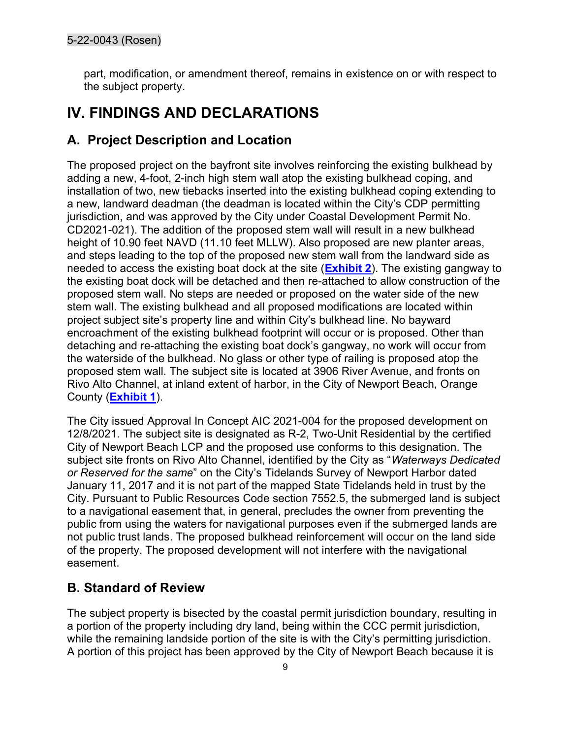part, modification, or amendment thereof, remains in existence on or with respect to the subject property.

# IV. FINDINGS AND DECLARATIONS

#### A. Project Description and Location

The proposed project on the bayfront site involves reinforcing the existing bulkhead by adding a new, 4-foot, 2-inch high stem wall atop the existing bulkhead coping, and installation of two, new tiebacks inserted into the existing bulkhead coping extending to a new, landward deadman (the deadman is located within the City's CDP permitting jurisdiction, and was approved by the City under Coastal Development Permit No. CD2021-021). The addition of the proposed stem wall will result in a new bulkhead height of 10.90 feet NAVD (11.10 feet MLLW). Also proposed are new planter areas, and steps leading to the top of the proposed new stem wall from the landward side as needed to access the existing boat dock at the site (**Exhibit 2**). The existing gangway to the existing boat dock will be detached and then re-attached to allow construction of the proposed stem wall. No steps are needed or proposed on the water side of the new stem wall. The existing bulkhead and all proposed modifications are located within project subject site's property line and within City's bulkhead line. No bayward encroachment of the existing bulkhead footprint will occur or is proposed. Other than detaching and re-attaching the existing boat dock's gangway, no work will occur from the waterside of the bulkhead. No glass or other type of railing is proposed atop the proposed stem wall. The subject site is located at 3906 River Avenue, and fronts on Rivo Alto Channel, at inland extent of harbor, in the City of Newport Beach, Orange County (Exhibit 1).

The City issued Approval In Concept AIC 2021-004 for the proposed development on 12/8/2021. The subject site is designated as R-2, Two-Unit Residential by the certified City of Newport Beach LCP and the proposed use conforms to this designation. The subject site fronts on Rivo Alto Channel, identified by the City as "Waterways Dedicated or Reserved for the same" on the City's Tidelands Survey of Newport Harbor dated January 11, 2017 and it is not part of the mapped State Tidelands held in trust by the City. Pursuant to Public Resources Code section 7552.5, the submerged land is subject to a navigational easement that, in general, precludes the owner from preventing the public from using the waters for navigational purposes even if the submerged lands are not public trust lands. The proposed bulkhead reinforcement will occur on the land side of the property. The proposed development will not interfere with the navigational easement.

#### B. Standard of Review

The subject property is bisected by the coastal permit jurisdiction boundary, resulting in a portion of the property including dry land, being within the CCC permit jurisdiction, while the remaining landside portion of the site is with the City's permitting jurisdiction. A portion of this project has been approved by the City of Newport Beach because it is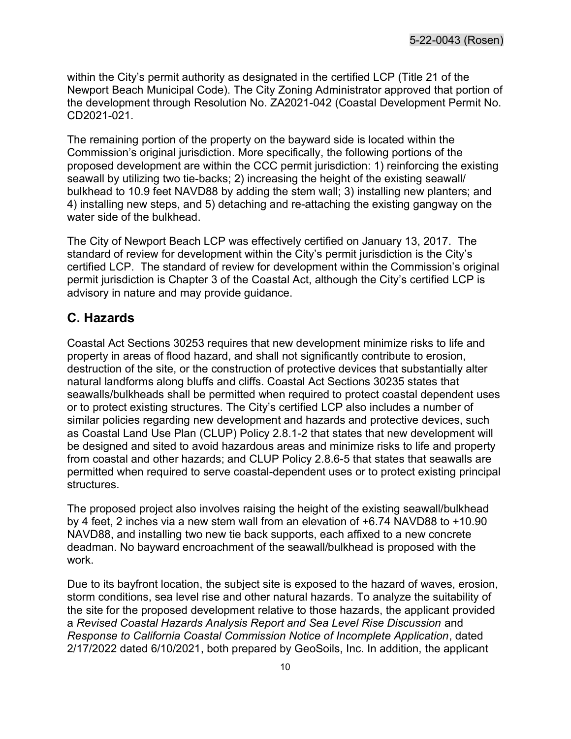within the City's permit authority as designated in the certified LCP (Title 21 of the Newport Beach Municipal Code). The City Zoning Administrator approved that portion of the development through Resolution No. ZA2021-042 (Coastal Development Permit No. CD2021-021.

The remaining portion of the property on the bayward side is located within the Commission's original jurisdiction. More specifically, the following portions of the proposed development are within the CCC permit jurisdiction: 1) reinforcing the existing seawall by utilizing two tie-backs; 2) increasing the height of the existing seawall/ bulkhead to 10.9 feet NAVD88 by adding the stem wall; 3) installing new planters; and 4) installing new steps, and 5) detaching and re-attaching the existing gangway on the water side of the bulkhead.

The City of Newport Beach LCP was effectively certified on January 13, 2017. The standard of review for development within the City's permit jurisdiction is the City's certified LCP. The standard of review for development within the Commission's original permit jurisdiction is Chapter 3 of the Coastal Act, although the City's certified LCP is advisory in nature and may provide guidance.

#### C. Hazards

Coastal Act Sections 30253 requires that new development minimize risks to life and property in areas of flood hazard, and shall not significantly contribute to erosion, destruction of the site, or the construction of protective devices that substantially alter natural landforms along bluffs and cliffs. Coastal Act Sections 30235 states that seawalls/bulkheads shall be permitted when required to protect coastal dependent uses or to protect existing structures. The City's certified LCP also includes a number of similar policies regarding new development and hazards and protective devices, such as Coastal Land Use Plan (CLUP) Policy 2.8.1-2 that states that new development will be designed and sited to avoid hazardous areas and minimize risks to life and property from coastal and other hazards; and CLUP Policy 2.8.6-5 that states that seawalls are permitted when required to serve coastal-dependent uses or to protect existing principal structures.

The proposed project also involves raising the height of the existing seawall/bulkhead by 4 feet, 2 inches via a new stem wall from an elevation of +6.74 NAVD88 to +10.90 NAVD88, and installing two new tie back supports, each affixed to a new concrete deadman. No bayward encroachment of the seawall/bulkhead is proposed with the work.

Due to its bayfront location, the subject site is exposed to the hazard of waves, erosion, storm conditions, sea level rise and other natural hazards. To analyze the suitability of the site for the proposed development relative to those hazards, the applicant provided a Revised Coastal Hazards Analysis Report and Sea Level Rise Discussion and Response to California Coastal Commission Notice of Incomplete Application, dated 2/17/2022 dated 6/10/2021, both prepared by GeoSoils, Inc. In addition, the applicant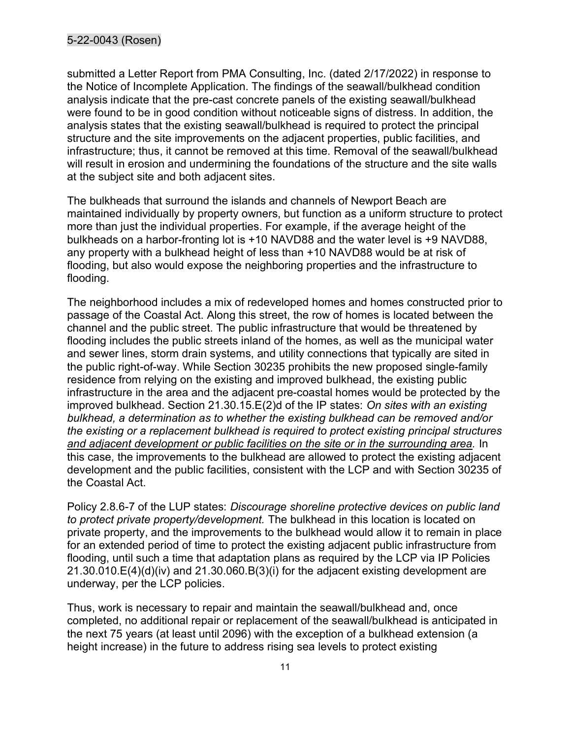submitted a Letter Report from PMA Consulting, Inc. (dated 2/17/2022) in response to the Notice of Incomplete Application. The findings of the seawall/bulkhead condition analysis indicate that the pre-cast concrete panels of the existing seawall/bulkhead were found to be in good condition without noticeable signs of distress. In addition, the analysis states that the existing seawall/bulkhead is required to protect the principal structure and the site improvements on the adjacent properties, public facilities, and infrastructure; thus, it cannot be removed at this time. Removal of the seawall/bulkhead will result in erosion and undermining the foundations of the structure and the site walls at the subject site and both adjacent sites.

The bulkheads that surround the islands and channels of Newport Beach are maintained individually by property owners, but function as a uniform structure to protect more than just the individual properties. For example, if the average height of the bulkheads on a harbor-fronting lot is +10 NAVD88 and the water level is +9 NAVD88, any property with a bulkhead height of less than +10 NAVD88 would be at risk of flooding, but also would expose the neighboring properties and the infrastructure to flooding.

The neighborhood includes a mix of redeveloped homes and homes constructed prior to passage of the Coastal Act. Along this street, the row of homes is located between the channel and the public street. The public infrastructure that would be threatened by flooding includes the public streets inland of the homes, as well as the municipal water and sewer lines, storm drain systems, and utility connections that typically are sited in the public right-of-way. While Section 30235 prohibits the new proposed single-family residence from relying on the existing and improved bulkhead, the existing public infrastructure in the area and the adjacent pre-coastal homes would be protected by the improved bulkhead. Section 21.30.15.E(2)d of the IP states: On sites with an existing bulkhead, a determination as to whether the existing bulkhead can be removed and/or the existing or a replacement bulkhead is required to protect existing principal structures and adjacent development or public facilities on the site or in the surrounding area. In this case, the improvements to the bulkhead are allowed to protect the existing adjacent development and the public facilities, consistent with the LCP and with Section 30235 of the Coastal Act.

Policy 2.8.6-7 of the LUP states: Discourage shoreline protective devices on public land to protect private property/development. The bulkhead in this location is located on private property, and the improvements to the bulkhead would allow it to remain in place for an extended period of time to protect the existing adjacent public infrastructure from flooding, until such a time that adaptation plans as required by the LCP via IP Policies 21.30.010.E(4)(d)(iv) and 21.30.060.B(3)(i) for the adjacent existing development are underway, per the LCP policies.

Thus, work is necessary to repair and maintain the seawall/bulkhead and, once completed, no additional repair or replacement of the seawall/bulkhead is anticipated in the next 75 years (at least until 2096) with the exception of a bulkhead extension (a height increase) in the future to address rising sea levels to protect existing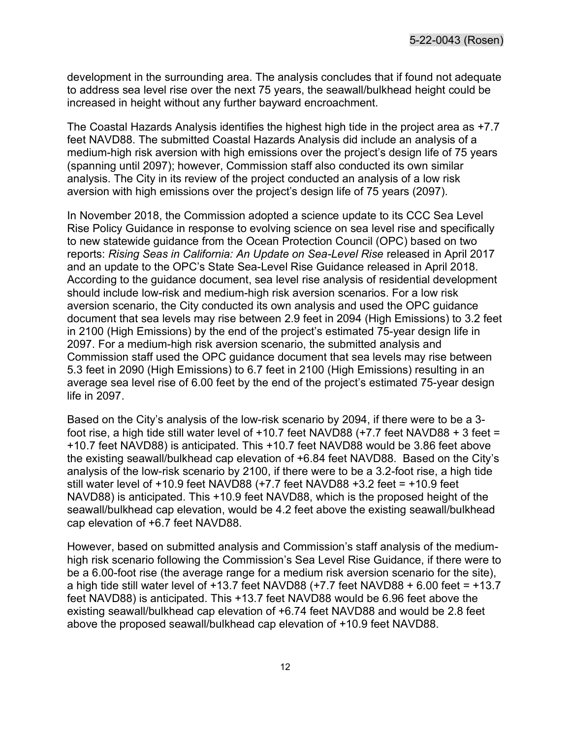development in the surrounding area. The analysis concludes that if found not adequate to address sea level rise over the next 75 years, the seawall/bulkhead height could be increased in height without any further bayward encroachment.

The Coastal Hazards Analysis identifies the highest high tide in the project area as +7.7 feet NAVD88. The submitted Coastal Hazards Analysis did include an analysis of a medium-high risk aversion with high emissions over the project's design life of 75 years (spanning until 2097); however, Commission staff also conducted its own similar analysis. The City in its review of the project conducted an analysis of a low risk aversion with high emissions over the project's design life of 75 years (2097).

In November 2018, the Commission adopted a science update to its CCC Sea Level Rise Policy Guidance in response to evolving science on sea level rise and specifically to new statewide guidance from the Ocean Protection Council (OPC) based on two reports: Rising Seas in California: An Update on Sea-Level Rise released in April 2017 and an update to the OPC's State Sea-Level Rise Guidance released in April 2018. According to the guidance document, sea level rise analysis of residential development should include low-risk and medium-high risk aversion scenarios. For a low risk aversion scenario, the City conducted its own analysis and used the OPC guidance document that sea levels may rise between 2.9 feet in 2094 (High Emissions) to 3.2 feet in 2100 (High Emissions) by the end of the project's estimated 75-year design life in 2097. For a medium-high risk aversion scenario, the submitted analysis and Commission staff used the OPC guidance document that sea levels may rise between 5.3 feet in 2090 (High Emissions) to 6.7 feet in 2100 (High Emissions) resulting in an average sea level rise of 6.00 feet by the end of the project's estimated 75-year design life in 2097.

Based on the City's analysis of the low-risk scenario by 2094, if there were to be a 3 foot rise, a high tide still water level of  $+10.7$  feet NAVD88  $(+7.7$  feet NAVD88  $+3$  feet = +10.7 feet NAVD88) is anticipated. This +10.7 feet NAVD88 would be 3.86 feet above the existing seawall/bulkhead cap elevation of +6.84 feet NAVD88. Based on the City's analysis of the low-risk scenario by 2100, if there were to be a 3.2-foot rise, a high tide still water level of +10.9 feet NAVD88 (+7.7 feet NAVD88 +3.2 feet = +10.9 feet NAVD88) is anticipated. This +10.9 feet NAVD88, which is the proposed height of the seawall/bulkhead cap elevation, would be 4.2 feet above the existing seawall/bulkhead cap elevation of +6.7 feet NAVD88.

However, based on submitted analysis and Commission's staff analysis of the mediumhigh risk scenario following the Commission's Sea Level Rise Guidance, if there were to be a 6.00-foot rise (the average range for a medium risk aversion scenario for the site), a high tide still water level of  $+13.7$  feet NAVD88 ( $+7.7$  feet NAVD88  $+6.00$  feet =  $+13.7$ feet NAVD88) is anticipated. This +13.7 feet NAVD88 would be 6.96 feet above the existing seawall/bulkhead cap elevation of +6.74 feet NAVD88 and would be 2.8 feet above the proposed seawall/bulkhead cap elevation of +10.9 feet NAVD88.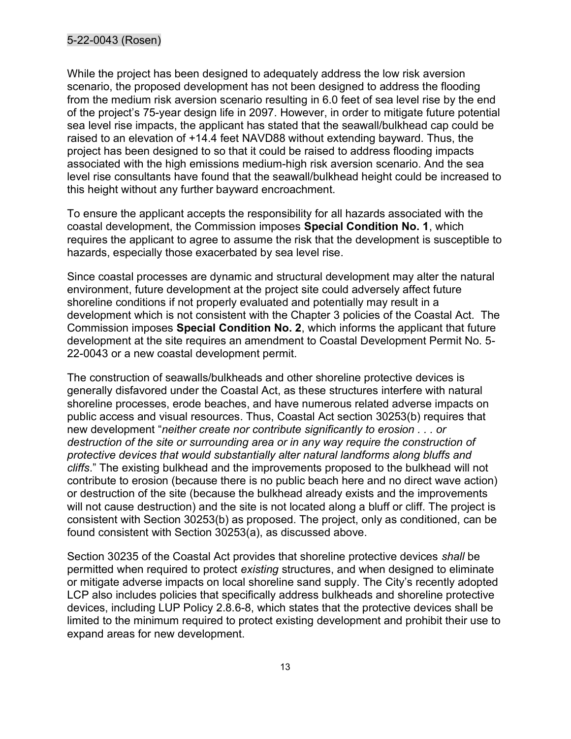While the project has been designed to adequately address the low risk aversion scenario, the proposed development has not been designed to address the flooding from the medium risk aversion scenario resulting in 6.0 feet of sea level rise by the end of the project's 75-year design life in 2097. However, in order to mitigate future potential sea level rise impacts, the applicant has stated that the seawall/bulkhead cap could be raised to an elevation of +14.4 feet NAVD88 without extending bayward. Thus, the project has been designed to so that it could be raised to address flooding impacts associated with the high emissions medium-high risk aversion scenario. And the sea level rise consultants have found that the seawall/bulkhead height could be increased to this height without any further bayward encroachment.

To ensure the applicant accepts the responsibility for all hazards associated with the coastal development, the Commission imposes Special Condition No. 1, which requires the applicant to agree to assume the risk that the development is susceptible to hazards, especially those exacerbated by sea level rise.

Since coastal processes are dynamic and structural development may alter the natural environment, future development at the project site could adversely affect future shoreline conditions if not properly evaluated and potentially may result in a development which is not consistent with the Chapter 3 policies of the Coastal Act. The Commission imposes Special Condition No. 2, which informs the applicant that future development at the site requires an amendment to Coastal Development Permit No. 5- 22-0043 or a new coastal development permit.

The construction of seawalls/bulkheads and other shoreline protective devices is generally disfavored under the Coastal Act, as these structures interfere with natural shoreline processes, erode beaches, and have numerous related adverse impacts on public access and visual resources. Thus, Coastal Act section 30253(b) requires that new development "neither create nor contribute significantly to erosion . . . or destruction of the site or surrounding area or in any way require the construction of protective devices that would substantially alter natural landforms along bluffs and cliffs." The existing bulkhead and the improvements proposed to the bulkhead will not contribute to erosion (because there is no public beach here and no direct wave action) or destruction of the site (because the bulkhead already exists and the improvements will not cause destruction) and the site is not located along a bluff or cliff. The project is consistent with Section 30253(b) as proposed. The project, only as conditioned, can be found consistent with Section 30253(a), as discussed above.

Section 30235 of the Coastal Act provides that shoreline protective devices shall be permitted when required to protect existing structures, and when designed to eliminate or mitigate adverse impacts on local shoreline sand supply. The City's recently adopted LCP also includes policies that specifically address bulkheads and shoreline protective devices, including LUP Policy 2.8.6-8, which states that the protective devices shall be limited to the minimum required to protect existing development and prohibit their use to expand areas for new development.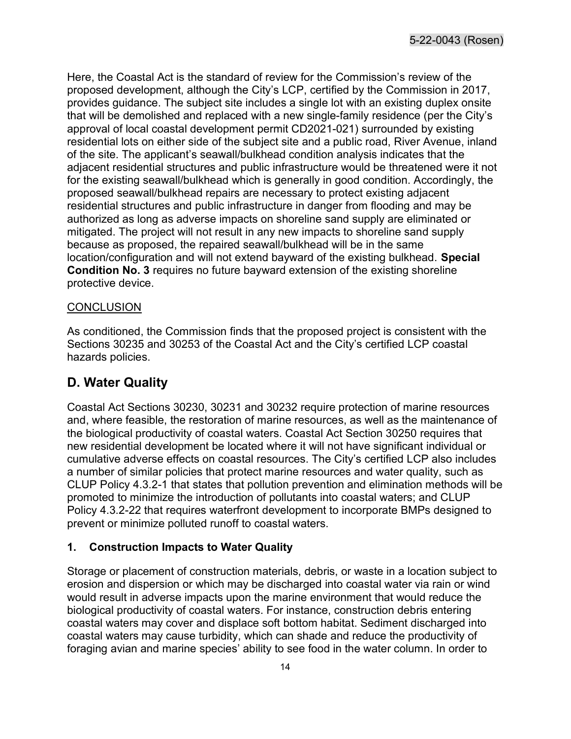Here, the Coastal Act is the standard of review for the Commission's review of the proposed development, although the City's LCP, certified by the Commission in 2017, provides guidance. The subject site includes a single lot with an existing duplex onsite that will be demolished and replaced with a new single-family residence (per the City's approval of local coastal development permit CD2021-021) surrounded by existing residential lots on either side of the subject site and a public road, River Avenue, inland of the site. The applicant's seawall/bulkhead condition analysis indicates that the adjacent residential structures and public infrastructure would be threatened were it not for the existing seawall/bulkhead which is generally in good condition. Accordingly, the proposed seawall/bulkhead repairs are necessary to protect existing adjacent residential structures and public infrastructure in danger from flooding and may be authorized as long as adverse impacts on shoreline sand supply are eliminated or mitigated. The project will not result in any new impacts to shoreline sand supply because as proposed, the repaired seawall/bulkhead will be in the same location/configuration and will not extend bayward of the existing bulkhead. Special Condition No. 3 requires no future bayward extension of the existing shoreline protective device.

#### **CONCLUSION**

As conditioned, the Commission finds that the proposed project is consistent with the Sections 30235 and 30253 of the Coastal Act and the City's certified LCP coastal hazards policies.

### D. Water Quality

Coastal Act Sections 30230, 30231 and 30232 require protection of marine resources and, where feasible, the restoration of marine resources, as well as the maintenance of the biological productivity of coastal waters. Coastal Act Section 30250 requires that new residential development be located where it will not have significant individual or cumulative adverse effects on coastal resources. The City's certified LCP also includes a number of similar policies that protect marine resources and water quality, such as CLUP Policy 4.3.2-1 that states that pollution prevention and elimination methods will be promoted to minimize the introduction of pollutants into coastal waters; and CLUP Policy 4.3.2-22 that requires waterfront development to incorporate BMPs designed to prevent or minimize polluted runoff to coastal waters.

#### 1. Construction Impacts to Water Quality

Storage or placement of construction materials, debris, or waste in a location subject to erosion and dispersion or which may be discharged into coastal water via rain or wind would result in adverse impacts upon the marine environment that would reduce the biological productivity of coastal waters. For instance, construction debris entering coastal waters may cover and displace soft bottom habitat. Sediment discharged into coastal waters may cause turbidity, which can shade and reduce the productivity of foraging avian and marine species' ability to see food in the water column. In order to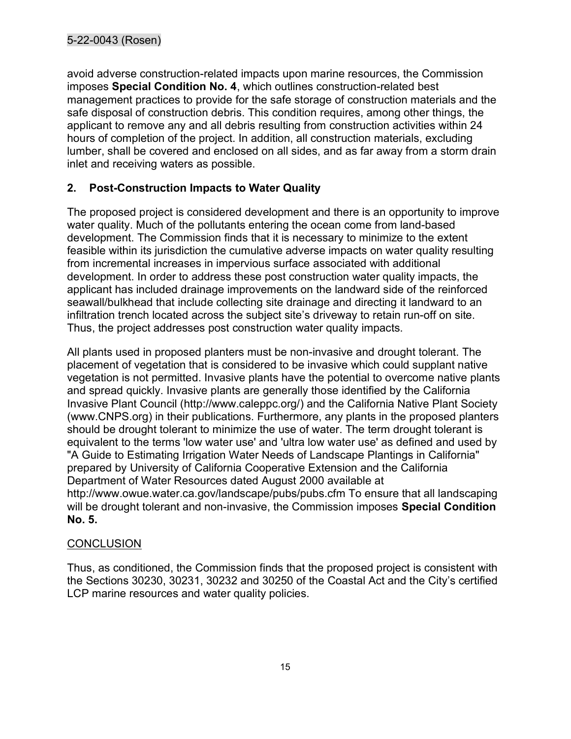avoid adverse construction-related impacts upon marine resources, the Commission imposes Special Condition No. 4, which outlines construction-related best management practices to provide for the safe storage of construction materials and the safe disposal of construction debris. This condition requires, among other things, the applicant to remove any and all debris resulting from construction activities within 24 hours of completion of the project. In addition, all construction materials, excluding lumber, shall be covered and enclosed on all sides, and as far away from a storm drain inlet and receiving waters as possible.

#### 2. Post-Construction Impacts to Water Quality

The proposed project is considered development and there is an opportunity to improve water quality. Much of the pollutants entering the ocean come from land-based development. The Commission finds that it is necessary to minimize to the extent feasible within its jurisdiction the cumulative adverse impacts on water quality resulting from incremental increases in impervious surface associated with additional development. In order to address these post construction water quality impacts, the applicant has included drainage improvements on the landward side of the reinforced seawall/bulkhead that include collecting site drainage and directing it landward to an infiltration trench located across the subject site's driveway to retain run-off on site. Thus, the project addresses post construction water quality impacts.

All plants used in proposed planters must be non-invasive and drought tolerant. The placement of vegetation that is considered to be invasive which could supplant native vegetation is not permitted. Invasive plants have the potential to overcome native plants and spread quickly. Invasive plants are generally those identified by the California Invasive Plant Council (http://www.caleppc.org/) and the California Native Plant Society (www.CNPS.org) in their publications. Furthermore, any plants in the proposed planters should be drought tolerant to minimize the use of water. The term drought tolerant is equivalent to the terms 'low water use' and 'ultra low water use' as defined and used by "A Guide to Estimating Irrigation Water Needs of Landscape Plantings in California" prepared by University of California Cooperative Extension and the California Department of Water Resources dated August 2000 available at http://www.owue.water.ca.gov/landscape/pubs/pubs.cfm To ensure that all landscaping will be drought tolerant and non-invasive, the Commission imposes Special Condition No. 5.

#### **CONCLUSION**

Thus, as conditioned, the Commission finds that the proposed project is consistent with the Sections 30230, 30231, 30232 and 30250 of the Coastal Act and the City's certified LCP marine resources and water quality policies.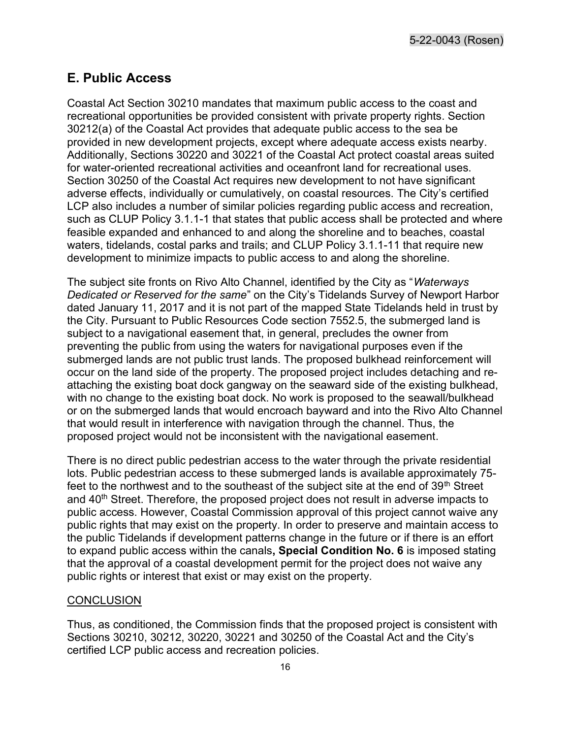5-22-0043 (Rosen)

#### E. Public Access

Coastal Act Section 30210 mandates that maximum public access to the coast and recreational opportunities be provided consistent with private property rights. Section 30212(a) of the Coastal Act provides that adequate public access to the sea be provided in new development projects, except where adequate access exists nearby. Additionally, Sections 30220 and 30221 of the Coastal Act protect coastal areas suited for water-oriented recreational activities and oceanfront land for recreational uses. Section 30250 of the Coastal Act requires new development to not have significant adverse effects, individually or cumulatively, on coastal resources. The City's certified LCP also includes a number of similar policies regarding public access and recreation, such as CLUP Policy 3.1.1-1 that states that public access shall be protected and where feasible expanded and enhanced to and along the shoreline and to beaches, coastal waters, tidelands, costal parks and trails; and CLUP Policy 3.1.1-11 that require new development to minimize impacts to public access to and along the shoreline.

The subject site fronts on Rivo Alto Channel, identified by the City as "Waterways Dedicated or Reserved for the same" on the City's Tidelands Survey of Newport Harbor dated January 11, 2017 and it is not part of the mapped State Tidelands held in trust by the City. Pursuant to Public Resources Code section 7552.5, the submerged land is subject to a navigational easement that, in general, precludes the owner from preventing the public from using the waters for navigational purposes even if the submerged lands are not public trust lands. The proposed bulkhead reinforcement will occur on the land side of the property. The proposed project includes detaching and reattaching the existing boat dock gangway on the seaward side of the existing bulkhead, with no change to the existing boat dock. No work is proposed to the seawall/bulkhead or on the submerged lands that would encroach bayward and into the Rivo Alto Channel that would result in interference with navigation through the channel. Thus, the proposed project would not be inconsistent with the navigational easement.

There is no direct public pedestrian access to the water through the private residential lots. Public pedestrian access to these submerged lands is available approximately 75 feet to the northwest and to the southeast of the subject site at the end of  $39<sup>th</sup>$  Street and 40<sup>th</sup> Street. Therefore, the proposed project does not result in adverse impacts to public access. However, Coastal Commission approval of this project cannot waive any public rights that may exist on the property. In order to preserve and maintain access to the public Tidelands if development patterns change in the future or if there is an effort to expand public access within the canals, Special Condition No. 6 is imposed stating that the approval of a coastal development permit for the project does not waive any public rights or interest that exist or may exist on the property.

#### **CONCLUSION**

Thus, as conditioned, the Commission finds that the proposed project is consistent with Sections 30210, 30212, 30220, 30221 and 30250 of the Coastal Act and the City's certified LCP public access and recreation policies.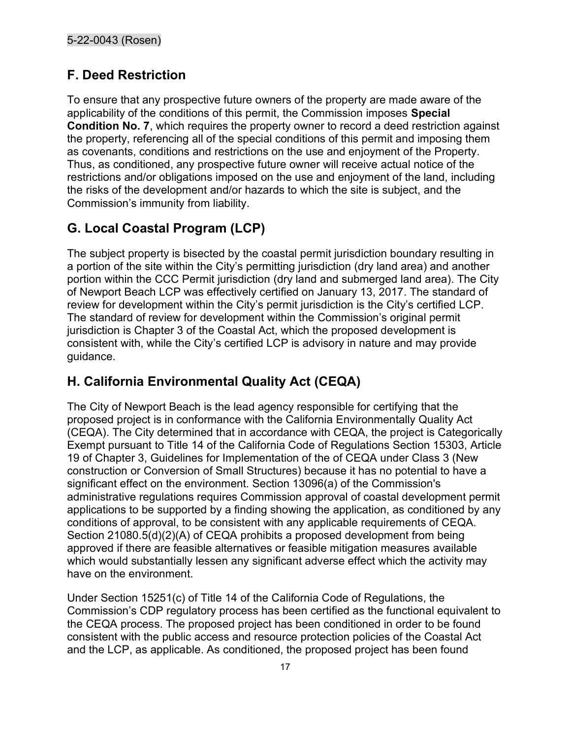### F. Deed Restriction

To ensure that any prospective future owners of the property are made aware of the applicability of the conditions of this permit, the Commission imposes Special Condition No. 7, which requires the property owner to record a deed restriction against the property, referencing all of the special conditions of this permit and imposing them as covenants, conditions and restrictions on the use and enjoyment of the Property. Thus, as conditioned, any prospective future owner will receive actual notice of the restrictions and/or obligations imposed on the use and enjoyment of the land, including the risks of the development and/or hazards to which the site is subject, and the Commission's immunity from liability.

# G. Local Coastal Program (LCP)

The subject property is bisected by the coastal permit jurisdiction boundary resulting in a portion of the site within the City's permitting jurisdiction (dry land area) and another portion within the CCC Permit jurisdiction (dry land and submerged land area). The City of Newport Beach LCP was effectively certified on January 13, 2017. The standard of review for development within the City's permit jurisdiction is the City's certified LCP. The standard of review for development within the Commission's original permit jurisdiction is Chapter 3 of the Coastal Act, which the proposed development is consistent with, while the City's certified LCP is advisory in nature and may provide guidance.

## H. California Environmental Quality Act (CEQA)

The City of Newport Beach is the lead agency responsible for certifying that the proposed project is in conformance with the California Environmentally Quality Act (CEQA). The City determined that in accordance with CEQA, the project is Categorically Exempt pursuant to Title 14 of the California Code of Regulations Section 15303, Article 19 of Chapter 3, Guidelines for Implementation of the of CEQA under Class 3 (New construction or Conversion of Small Structures) because it has no potential to have a significant effect on the environment. Section 13096(a) of the Commission's administrative regulations requires Commission approval of coastal development permit applications to be supported by a finding showing the application, as conditioned by any conditions of approval, to be consistent with any applicable requirements of CEQA. Section 21080.5(d)(2)(A) of CEQA prohibits a proposed development from being approved if there are feasible alternatives or feasible mitigation measures available which would substantially lessen any significant adverse effect which the activity may have on the environment.

Under Section 15251(c) of Title 14 of the California Code of Regulations, the Commission's CDP regulatory process has been certified as the functional equivalent to the CEQA process. The proposed project has been conditioned in order to be found consistent with the public access and resource protection policies of the Coastal Act and the LCP, as applicable. As conditioned, the proposed project has been found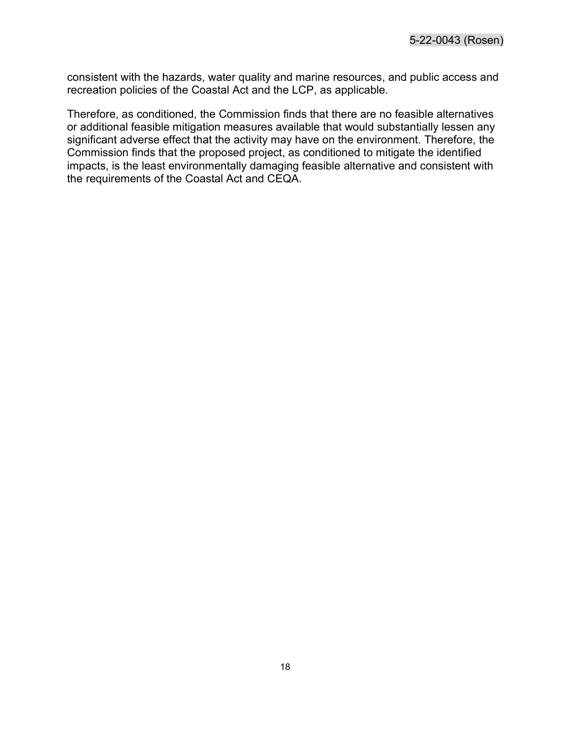consistent with the hazards, water quality and marine resources, and public access and recreation policies of the Coastal Act and the LCP, as applicable.

Therefore, as conditioned, the Commission finds that there are no feasible alternatives or additional feasible mitigation measures available that would substantially lessen any significant adverse effect that the activity may have on the environment. Therefore, the Commission finds that the proposed project, as conditioned to mitigate the identified impacts, is the least environmentally damaging feasible alternative and consistent with the requirements of the Coastal Act and CEQA.